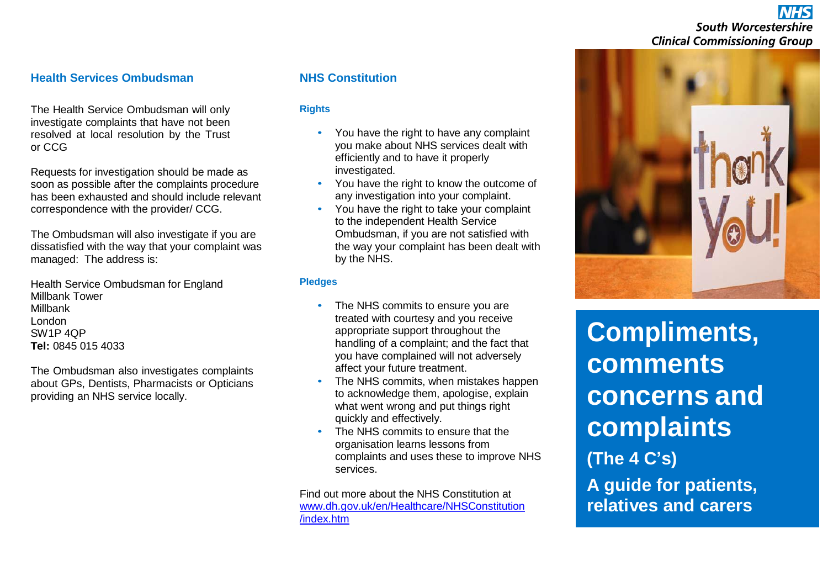# **South Worcestershire Clinical Commissioning Group**

# **Health Services Ombudsman**

The Health Service Ombudsman will only investigate complaints that have not been resolved at local resolution by the Trust or CCG

Requests for investigation should be made as soon as possible after the complaints procedure has been exhausted and should include relevant correspondence with the provider/ CCG.

The Ombudsman will also investigate if you are dissatisfied with the way that your complaint was managed: The address is:

Health Service Ombudsman for England Millbank Tower Millbank London SW1P 4QP **Tel:** 0845 015 4033

The Ombudsman also investigates complaints about GPs, Dentists, Pharmacists or Opticians providing an NHS service locally.

## **NHS Constitution**

#### **Rights**

- You have the right to have any complaint you make about NHS services dealt with efficiently and to have it properly investigated.
- You have the right to know the outcome of any investigation into your complaint.
- You have the right to take your complaint to the independent Health Service Ombudsman, if you are not satisfied with the way your complaint has been dealt with by the NHS.

#### **Pledges**

- The NHS commits to ensure you are treated with courtesy and you receive appropriate support throughout the handling of a complaint; and the fact that you have complained will not adversely affect your future treatment.
- The NHS commits, when mistakes happen to acknowledge them, apologise, explain what went wrong and put things right quickly and effectively.
- The NHS commits to ensure that the organisation learns lessons from complaints and uses these to improve NHS services.

Find out more about the NHS Constitution at [www.dh.gov.uk/en/Healthcare/NHSConstitution](http://www.dh.gov.uk/en/Healthcare/NHSConstitution/index.htm) [/index.htm](http://www.dh.gov.uk/en/Healthcare/NHSConstitution/index.htm)



**Compliments, comments concerns and complaints (The 4 C's) A guide for patients, relatives and carers**